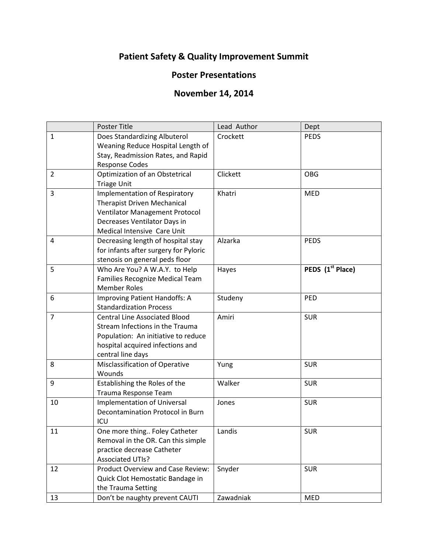## **Patient Safety & Quality Improvement Summit**

## **Poster Presentations**

## **November 14, 2014**

|                | Poster Title                                                                                                                                                                | Lead Author | Dept                         |
|----------------|-----------------------------------------------------------------------------------------------------------------------------------------------------------------------------|-------------|------------------------------|
| $\mathbf{1}$   | Does Standardizing Albuterol<br>Weaning Reduce Hospital Length of<br>Stay, Readmission Rates, and Rapid<br><b>Response Codes</b>                                            | Crockett    | <b>PEDS</b>                  |
| $\overline{2}$ | Optimization of an Obstetrical<br><b>Triage Unit</b>                                                                                                                        | Clickett    | <b>OBG</b>                   |
| 3              | <b>Implementation of Respiratory</b><br><b>Therapist Driven Mechanical</b><br>Ventilator Management Protocol<br>Decreases Ventilator Days in<br>Medical Intensive Care Unit | Khatri      | <b>MED</b>                   |
| 4              | Decreasing length of hospital stay<br>for infants after surgery for Pyloric<br>stenosis on general peds floor                                                               | Alzarka     | <b>PEDS</b>                  |
| 5              | Who Are You? A W.A.Y. to Help<br>Families Recognize Medical Team<br><b>Member Roles</b>                                                                                     | Hayes       | PEDS (1 <sup>st</sup> Place) |
| 6              | Improving Patient Handoffs: A<br><b>Standardization Process</b>                                                                                                             | Studeny     | PED                          |
| $\overline{7}$ | <b>Central Line Associated Blood</b><br>Stream Infections in the Trauma<br>Population: An initiative to reduce<br>hospital acquired infections and<br>central line days     | Amiri       | <b>SUR</b>                   |
| 8              | Misclassification of Operative<br>Wounds                                                                                                                                    | Yung        | <b>SUR</b>                   |
| 9              | Establishing the Roles of the<br>Trauma Response Team                                                                                                                       | Walker      | <b>SUR</b>                   |
| 10             | <b>Implementation of Universal</b><br>Decontamination Protocol in Burn<br>ICU                                                                                               | Jones       | <b>SUR</b>                   |
| 11             | One more thing Foley Catheter<br>Removal in the OR. Can this simple<br>practice decrease Catheter<br><b>Associated UTIs?</b>                                                | Landis      | <b>SUR</b>                   |
| 12             | <b>Product Overview and Case Review:</b><br>Quick Clot Hemostatic Bandage in<br>the Trauma Setting                                                                          | Snyder      | <b>SUR</b>                   |
| 13             | Don't be naughty prevent CAUTI                                                                                                                                              | Zawadniak   | <b>MED</b>                   |